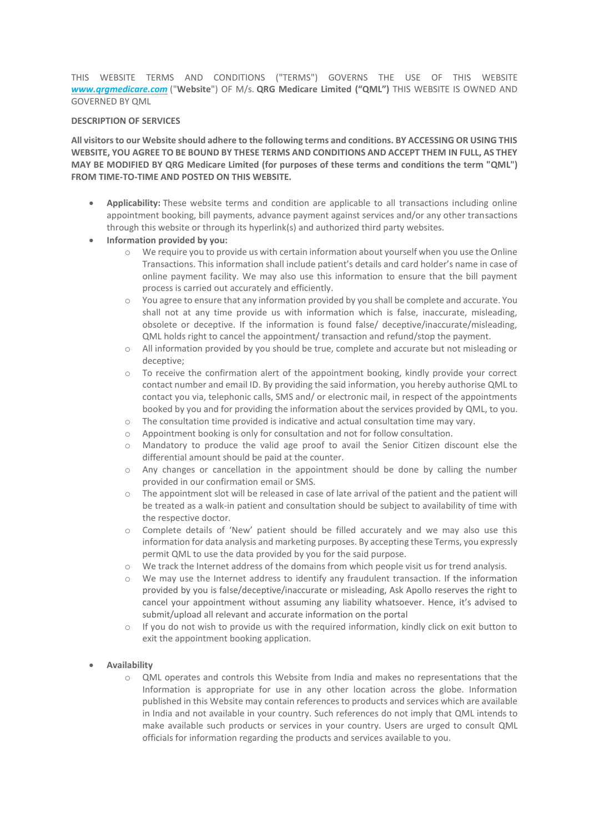THIS WEBSITE TERMS AND CONDITIONS ("TERMS") GOVERNS THE USE OF THIS WEBSITE *www.qrgmedicare.com* ("**Website**") OF M/s. **QRG Medicare Limited ("QML")** THIS WEBSITE IS OWNED AND GOVERNED BY QML

#### **DESCRIPTION OF SERVICES**

**All visitors to our Website should adhere to the following terms and conditions. BY ACCESSING OR USING THIS WEBSITE, YOU AGREE TO BE BOUND BY THESE TERMS AND CONDITIONS AND ACCEPT THEM IN FULL, AS THEY MAY BE MODIFIED BY QRG Medicare Limited (for purposes of these terms and conditions the term "QML") FROM TIME-TO-TIME AND POSTED ON THIS WEBSITE.**

 **Applicability:** These website terms and condition are applicable to all transactions including online appointment booking, bill payments, advance payment against services and/or any other transactions through this website or through its hyperlink(s) and authorized third party websites.

## **Information provided by you:**

- We require you to provide us with certain information about yourself when you use the Online Transactions. This information shall include patient's details and card holder's name in case of online payment facility. We may also use this information to ensure that the bill payment process is carried out accurately and efficiently.
- o You agree to ensure that any information provided by you shall be complete and accurate. You shall not at any time provide us with information which is false, inaccurate, misleading, obsolete or deceptive. If the information is found false/ deceptive/inaccurate/misleading, QML holds right to cancel the appointment/ transaction and refund/stop the payment.
- o All information provided by you should be true, complete and accurate but not misleading or deceptive;
- o To receive the confirmation alert of the appointment booking, kindly provide your correct contact number and email ID. By providing the said information, you hereby authorise QML to contact you via, telephonic calls, SMS and/ or electronic mail, in respect of the appointments booked by you and for providing the information about the services provided by QML, to you.
- The consultation time provided is indicative and actual consultation time may vary.
- o Appointment booking is only for consultation and not for follow consultation.
- o Mandatory to produce the valid age proof to avail the Senior Citizen discount else the differential amount should be paid at the counter.
- o Any changes or cancellation in the appointment should be done by calling the number provided in our confirmation email or SMS.
- The appointment slot will be released in case of late arrival of the patient and the patient will be treated as a walk-in patient and consultation should be subject to availability of time with the respective doctor.
- o Complete details of 'New' patient should be filled accurately and we may also use this information for data analysis and marketing purposes. By accepting these Terms, you expressly permit QML to use the data provided by you for the said purpose.
- o We track the Internet address of the domains from which people visit us for trend analysis.
- o We may use the Internet address to identify any fraudulent transaction. If the information provided by you is false/deceptive/inaccurate or misleading, Ask Apollo reserves the right to cancel your appointment without assuming any liability whatsoever. Hence, it's advised to submit/upload all relevant and accurate information on the portal
- $\circ$  If you do not wish to provide us with the required information, kindly click on exit button to exit the appointment booking application.

## **Availability**

o QML operates and controls this Website from India and makes no representations that the Information is appropriate for use in any other location across the globe. Information published in this Website may contain references to products and services which are available in India and not available in your country. Such references do not imply that QML intends to make available such products or services in your country. Users are urged to consult QML officials for information regarding the products and services available to you.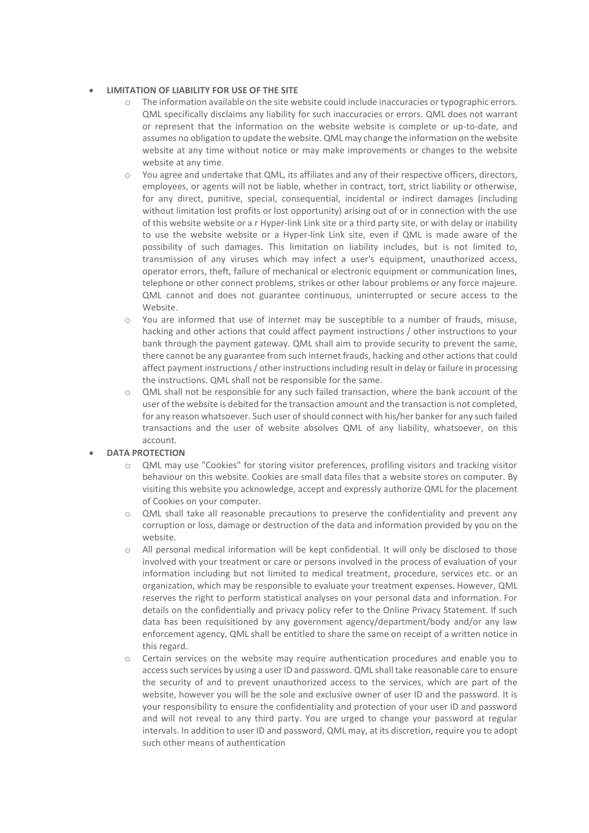## **LIMITATION OF LIABILITY FOR USE OF THE SITE**

- o The information available on the site website could include inaccuracies or typographic errors. QML specifically disclaims any liability for such inaccuracies or errors. QML does not warrant or represent that the information on the website website is complete or up-to-date, and assumes no obligation to update the website. QML may change the information on the website website at any time without notice or may make improvements or changes to the website website at any time.
- o You agree and undertake that QML, its affiliates and any of their respective officers, directors, employees, or agents will not be liable, whether in contract, tort, strict liability or otherwise, for any direct, punitive, special, consequential, incidental or indirect damages (including without limitation lost profits or lost opportunity) arising out of or in connection with the use of this website website or a r Hyper-link Link site or a third party site, or with delay or inability to use the website website or a Hyper-link Link site, even if QML is made aware of the possibility of such damages. This limitation on liability includes, but is not limited to, transmission of any viruses which may infect a user's equipment, unauthorized access, operator errors, theft, failure of mechanical or electronic equipment or communication lines, telephone or other connect problems, strikes or other labour problems or any force majeure. QML cannot and does not guarantee continuous, uninterrupted or secure access to the Website.
- o You are informed that use of internet may be susceptible to a number of frauds, misuse, hacking and other actions that could affect payment instructions / other instructions to your bank through the payment gateway. QML shall aim to provide security to prevent the same, there cannot be any guarantee from such internet frauds, hacking and other actions that could affect payment instructions / other instructions including result in delay or failure in processing the instructions. QML shall not be responsible for the same.
- o QML shall not be responsible for any such failed transaction, where the bank account of the user of the website is debited for the transaction amount and the transaction is not completed, for any reason whatsoever. Such user of should connect with his/her banker for any such failed transactions and the user of website absolves QML of any liability, whatsoever, on this account.

# **DATA PROTECTION**

- o QML may use "Cookies" for storing visitor preferences, profiling visitors and tracking visitor behaviour on this website. Cookies are small data files that a website stores on computer. By visiting this website you acknowledge, accept and expressly authorize QML for the placement of Cookies on your computer.
- o QML shall take all reasonable precautions to preserve the confidentiality and prevent any corruption or loss, damage or destruction of the data and information provided by you on the website.
- All personal medical information will be kept confidential. It will only be disclosed to those involved with your treatment or care or persons involved in the process of evaluation of your information including but not limited to medical treatment, procedure, services etc. or an organization, which may be responsible to evaluate your treatment expenses. However, QML reserves the right to perform statistical analyses on your personal data and information. For details on the confidentially and privacy policy refer to the Online Privacy Statement. If such data has been requisitioned by any government agency/department/body and/or any law enforcement agency, QML shall be entitled to share the same on receipt of a written notice in this regard.
- o Certain services on the website may require authentication procedures and enable you to access such services by using a user ID and password. QML shall take reasonable care to ensure the security of and to prevent unauthorized access to the services, which are part of the website, however you will be the sole and exclusive owner of user ID and the password. It is your responsibility to ensure the confidentiality and protection of your user ID and password and will not reveal to any third party. You are urged to change your password at regular intervals. In addition to user ID and password, QML may, at its discretion, require you to adopt such other means of authentication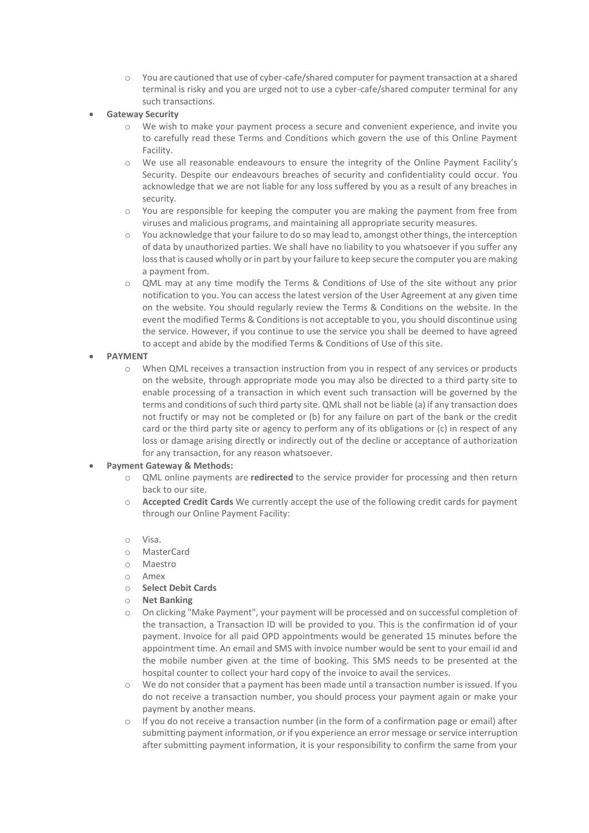- o You are cautioned that use of cyber-cafe/shared computer for payment transaction at a shared terminal is risky and you are urged not to use a cyber-cafe/shared computer terminal for any such transactions.
- **Gateway Security**
	- o We wish to make your payment process a secure and convenient experience, and invite you to carefully read these Terms and Conditions which govern the use of this Online Payment Facility.
	- o We use all reasonable endeavours to ensure the integrity of the Online Payment Facility's Security. Despite our endeavours breaches of security and confidentiality could occur. You acknowledge that we are not liable for any loss suffered by you as a result of any breaches in security.
	- o You are responsible for keeping the computer you are making the payment from free from viruses and malicious programs, and maintaining all appropriate security measures.
	- o You acknowledge that your failure to do so may lead to, amongst other things, the interception of data by unauthorized parties. We shall have no liability to you whatsoever if you suffer any loss that is caused wholly or in part by your failure to keep secure the computer you are making a payment from.
	- o QML may at any time modify the Terms & Conditions of Use of the site without any prior notification to you. You can access the latest version of the User Agreement at any given time on the website. You should regularly review the Terms & Conditions on the website. In the event the modified Terms & Conditions is not acceptable to you, you should discontinue using the service. However, if you continue to use the service you shall be deemed to have agreed to accept and abide by the modified Terms & Conditions of Use of this site.
- **PAYMENT**
	- o When QML receives a transaction instruction from you in respect of any services or products on the website, through appropriate mode you may also be directed to a third party site to enable processing of a transaction in which event such transaction will be governed by the terms and conditions of such third party site. QML shall not be liable (a) if any transaction does not fructify or may not be completed or (b) for any failure on part of the bank or the credit card or the third party site or agency to perform any of its obligations or (c) in respect of any loss or damage arising directly or indirectly out of the decline or acceptance of authorization for any transaction, for any reason whatsoever.

# **Payment Gateway & Methods:**

- o QML online payments are **redirected** to the service provider for processing and then return back to our site.
- o **Accepted Credit Cards** We currently accept the use of the following credit cards for payment through our Online Payment Facility:
- o Visa.
- o MasterCard
- o Maestro
- o Amex
- o **Select Debit Cards**
- o **Net Banking**
- o On clicking "Make Payment", your payment will be processed and on successful completion of the transaction, a Transaction ID will be provided to you. This is the confirmation id of your payment. Invoice for all paid OPD appointments would be generated 15 minutes before the appointment time. An email and SMS with invoice number would be sent to your email id and the mobile number given at the time of booking. This SMS needs to be presented at the hospital counter to collect your hard copy of the invoice to avail the services.
- We do not consider that a payment has been made until a transaction number is issued. If you do not receive a transaction number, you should process your payment again or make your payment by another means.
- $\circ$  If you do not receive a transaction number (in the form of a confirmation page or email) after submitting payment information, or if you experience an error message or service interruption after submitting payment information, it is your responsibility to confirm the same from your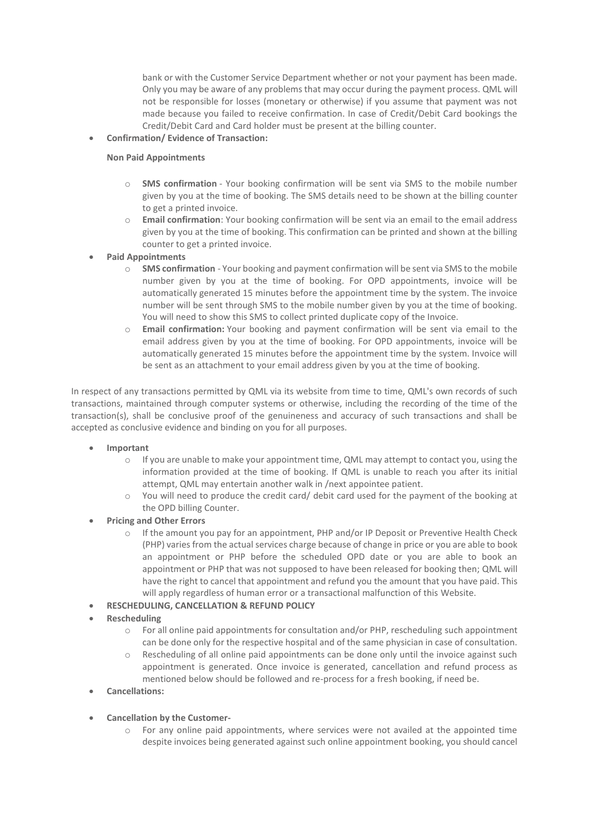bank or with the Customer Service Department whether or not your payment has been made. Only you may be aware of any problems that may occur during the payment process. QML will not be responsible for losses (monetary or otherwise) if you assume that payment was not made because you failed to receive confirmation. In case of Credit/Debit Card bookings the Credit/Debit Card and Card holder must be present at the billing counter.

**Confirmation/ Evidence of Transaction:**

## **Non Paid Appointments**

- o **SMS confirmation** Your booking confirmation will be sent via SMS to the mobile number given by you at the time of booking. The SMS details need to be shown at the billing counter to get a printed invoice.
- o **Email confirmation**: Your booking confirmation will be sent via an email to the email address given by you at the time of booking. This confirmation can be printed and shown at the billing counter to get a printed invoice.
- **Paid Appointments**
	- o **SMS confirmation** Your booking and payment confirmation will be sent via SMS to the mobile number given by you at the time of booking. For OPD appointments, invoice will be automatically generated 15 minutes before the appointment time by the system. The invoice number will be sent through SMS to the mobile number given by you at the time of booking. You will need to show this SMS to collect printed duplicate copy of the Invoice.
	- o **Email confirmation:** Your booking and payment confirmation will be sent via email to the email address given by you at the time of booking. For OPD appointments, invoice will be automatically generated 15 minutes before the appointment time by the system. Invoice will be sent as an attachment to your email address given by you at the time of booking.

In respect of any transactions permitted by QML via its website from time to time, QML's own records of such transactions, maintained through computer systems or otherwise, including the recording of the time of the transaction(s), shall be conclusive proof of the genuineness and accuracy of such transactions and shall be accepted as conclusive evidence and binding on you for all purposes.

- **Important**
	- o If you are unable to make your appointment time, QML may attempt to contact you, using the information provided at the time of booking. If QML is unable to reach you after its initial attempt, QML may entertain another walk in /next appointee patient.
	- $\circ$  You will need to produce the credit card/ debit card used for the payment of the booking at the OPD billing Counter.
- **Pricing and Other Errors**
	- o If the amount you pay for an appointment, PHP and/or IP Deposit or Preventive Health Check (PHP) varies from the actual services charge because of change in price or you are able to book an appointment or PHP before the scheduled OPD date or you are able to book an appointment or PHP that was not supposed to have been released for booking then; QML will have the right to cancel that appointment and refund you the amount that you have paid. This will apply regardless of human error or a transactional malfunction of this Website.
- **RESCHEDULING, CANCELLATION & REFUND POLICY**
- **Rescheduling**
	- o For all online paid appointments for consultation and/or PHP, rescheduling such appointment can be done only for the respective hospital and of the same physician in case of consultation.
	- Rescheduling of all online paid appointments can be done only until the invoice against such appointment is generated. Once invoice is generated, cancellation and refund process as mentioned below should be followed and re-process for a fresh booking, if need be.
- **Cancellations:**
- **Cancellation by the Customer-**
	- $\circ$  For any online paid appointments, where services were not availed at the appointed time despite invoices being generated against such online appointment booking, you should cancel